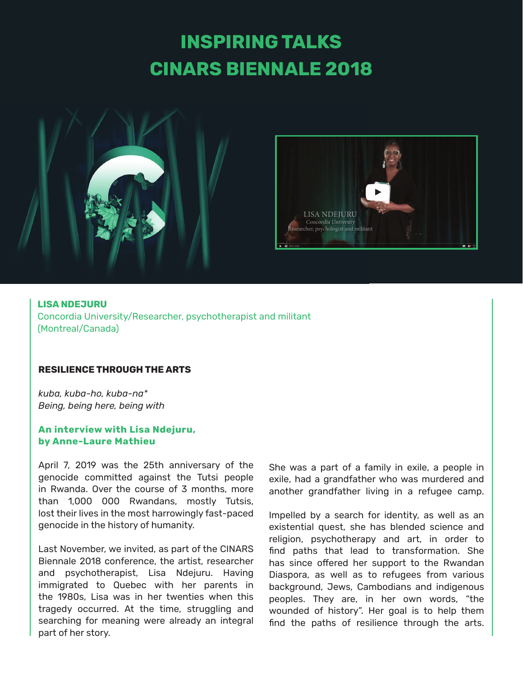# **INSPIRING TALKS CINARS BIENNALE 2018**





**LISA NDEJURU** Concordia University/Researcher, psychotherapist and militant (Montreal/Canada)

#### **RESILIENCE THROUGH THE ARTS**

*kuba, kuba-ho, kuba-na\* Being, being here, being with*

#### **An interview with Lisa Ndejuru, by Anne-Laure Mathieu**

April 7, 2019 was the 25th anniversary of the genocide committed against the Tutsi people in Rwanda. Over the course of 3 months, more than 1,000 000 Rwandans, mostly Tutsis, lost their lives in the most harrowingly fast-paced genocide in the history of humanity.

Last November, we invited, as part of the CINARS Biennale 2018 conference, the artist, researcher and psychotherapist, Lisa Ndejuru. Having immigrated to Quebec with her parents in the 1980s, Lisa was in her twenties when this tragedy occurred. At the time, struggling and searching for meaning were already an integral part of her story.

She was a part of a family in exile, a people in exile, had a grandfather who was murdered and another grandfather living in a refugee camp.

Impelled by a search for identity, as well as an existential quest, she has blended science and religion, psychotherapy and art, in order to find paths that lead to transformation. She has since offered her support to the Rwandan Diaspora, as well as to refugees from various background, Jews, Cambodians and indigenous peoples. They are, in her own words, "the wounded of history". Her goal is to help them find the paths of resilience through the arts.